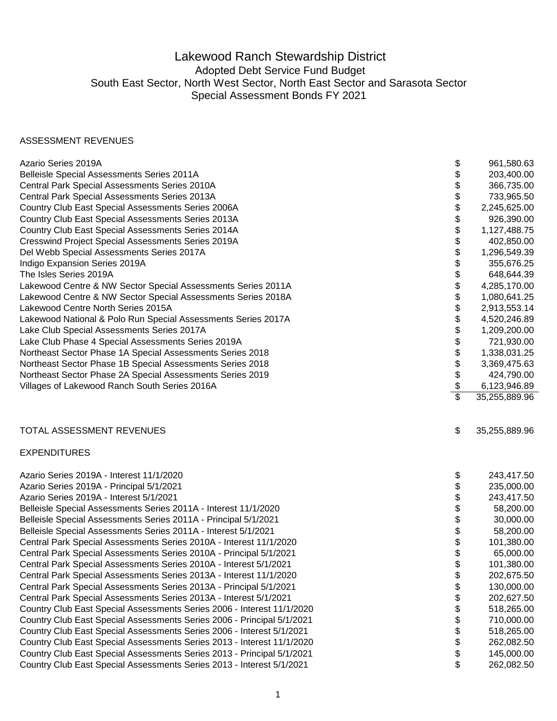## Lakewood Ranch Stewardship District Adopted Debt Service Fund Budget South East Sector, North West Sector, North East Sector and Sarasota Sector Special Assessment Bonds FY 2021

## ASSESSMENT REVENUES

| Azario Series 2019A                                                    | \$                      | 961,580.63    |
|------------------------------------------------------------------------|-------------------------|---------------|
| Belleisle Special Assessments Series 2011A                             | \$                      | 203,400.00    |
| Central Park Special Assessments Series 2010A                          | \$                      | 366,735.00    |
| Central Park Special Assessments Series 2013A                          | \$                      | 733,965.50    |
| Country Club East Special Assessments Series 2006A                     | \$                      | 2,245,625.00  |
| Country Club East Special Assessments Series 2013A                     | \$                      | 926,390.00    |
| Country Club East Special Assessments Series 2014A                     | \$                      | 1,127,488.75  |
| Cresswind Project Special Assessments Series 2019A                     | \$                      | 402,850.00    |
| Del Webb Special Assessments Series 2017A                              | \$                      | 1,296,549.39  |
| Indigo Expansion Series 2019A                                          | \$                      | 355,676.25    |
| The Isles Series 2019A                                                 | \$                      | 648,644.39    |
| Lakewood Centre & NW Sector Special Assessments Series 2011A           | \$                      | 4,285,170.00  |
| Lakewood Centre & NW Sector Special Assessments Series 2018A           | \$                      | 1,080,641.25  |
| Lakewood Centre North Series 2015A                                     | \$                      | 2,913,553.14  |
| Lakewood National & Polo Run Special Assessments Series 2017A          | \$                      | 4,520,246.89  |
| Lake Club Special Assessments Series 2017A                             | \$                      | 1,209,200.00  |
| Lake Club Phase 4 Special Assessments Series 2019A                     | \$                      | 721,930.00    |
| Northeast Sector Phase 1A Special Assessments Series 2018              | \$                      | 1,338,031.25  |
| Northeast Sector Phase 1B Special Assessments Series 2018              | \$                      | 3,369,475.63  |
| Northeast Sector Phase 2A Special Assessments Series 2019              | \$                      | 424,790.00    |
| Villages of Lakewood Ranch South Series 2016A                          | $\frac{1}{2}$           | 6,123,946.89  |
|                                                                        | $\overline{\mathbb{S}}$ | 35,255,889.96 |
| TOTAL ASSESSMENT REVENUES                                              | \$                      | 35,255,889.96 |
| <b>EXPENDITURES</b>                                                    |                         |               |
| Azario Series 2019A - Interest 11/1/2020                               | \$                      | 243,417.50    |
| Azario Series 2019A - Principal 5/1/2021                               | \$                      | 235,000.00    |
| Azario Series 2019A - Interest 5/1/2021                                | \$                      | 243,417.50    |
| Belleisle Special Assessments Series 2011A - Interest 11/1/2020        | \$                      | 58,200.00     |
| Belleisle Special Assessments Series 2011A - Principal 5/1/2021        | \$                      | 30,000.00     |
| Belleisle Special Assessments Series 2011A - Interest 5/1/2021         | \$                      | 58,200.00     |
| Central Park Special Assessments Series 2010A - Interest 11/1/2020     | \$                      | 101,380.00    |
| Central Park Special Assessments Series 2010A - Principal 5/1/2021     | \$                      | 65,000.00     |
| Central Park Special Assessments Series 2010A - Interest 5/1/2021      | \$                      | 101,380.00    |
| Central Park Special Assessments Series 2013A - Interest 11/1/2020     | \$                      | 202,675.50    |
| Central Park Special Assessments Series 2013A - Principal 5/1/2021     | \$                      | 130,000.00    |
| Central Park Special Assessments Series 2013A - Interest 5/1/2021      | \$                      | 202,627.50    |
| Country Club East Special Assessments Series 2006 - Interest 11/1/2020 | \$                      | 518,265.00    |
| Country Club East Special Assessments Series 2006 - Principal 5/1/2021 | \$                      | 710,000.00    |
| Country Club East Special Assessments Series 2006 - Interest 5/1/2021  | \$                      | 518,265.00    |
| Country Club East Special Assessments Series 2013 - Interest 11/1/2020 |                         |               |
|                                                                        | \$                      | 262,082.50    |
| Country Club East Special Assessments Series 2013 - Principal 5/1/2021 | \$                      | 145,000.00    |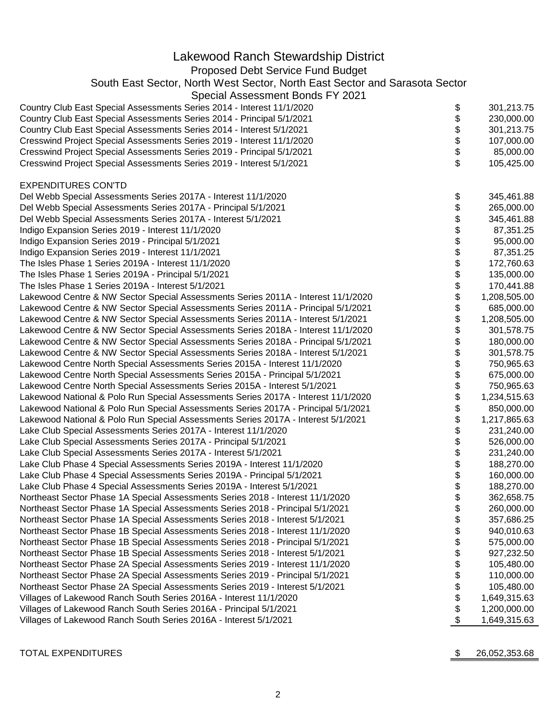| Lakewood Ranch Stewardship District<br>Proposed Debt Service Fund Budget<br>South East Sector, North West Sector, North East Sector and Sarasota Sector<br>Special Assessment Bonds FY 2021<br>Country Club East Special Assessments Series 2014 - Interest 11/1/2020<br>301,213.75<br>\$<br>\$<br>Country Club East Special Assessments Series 2014 - Principal 5/1/2021<br>230,000.00<br>\$<br>Country Club East Special Assessments Series 2014 - Interest 5/1/2021<br>301,213.75<br>\$<br>Cresswind Project Special Assessments Series 2019 - Interest 11/1/2020<br>107,000.00<br>\$<br>Cresswind Project Special Assessments Series 2019 - Principal 5/1/2021<br>85,000.00<br>\$<br>Cresswind Project Special Assessments Series 2019 - Interest 5/1/2021<br>105,425.00<br><b>EXPENDITURES CON'TD</b><br>Del Webb Special Assessments Series 2017A - Interest 11/1/2020<br>345,461.88<br>\$<br>\$<br>Del Webb Special Assessments Series 2017A - Principal 5/1/2021<br>265,000.00<br>\$<br>Del Webb Special Assessments Series 2017A - Interest 5/1/2021<br>345,461.88<br>\$<br>87,351.25<br>Indigo Expansion Series 2019 - Interest 11/1/2020<br>\$<br>Indigo Expansion Series 2019 - Principal 5/1/2021<br>95,000.00<br>\$<br>87,351.25<br>Indigo Expansion Series 2019 - Interest 11/1/2021<br>\$<br>172,760.63<br>The Isles Phase 1 Series 2019A - Interest 11/1/2020<br>\$<br>The Isles Phase 1 Series 2019A - Principal 5/1/2021<br>135,000.00<br>\$<br>The Isles Phase 1 Series 2019A - Interest 5/1/2021<br>170,441.88<br>\$<br>Lakewood Centre & NW Sector Special Assessments Series 2011A - Interest 11/1/2020<br>1,208,505.00<br>\$<br>Lakewood Centre & NW Sector Special Assessments Series 2011A - Principal 5/1/2021<br>685,000.00<br>\$<br>Lakewood Centre & NW Sector Special Assessments Series 2011A - Interest 5/1/2021<br>1,208,505.00<br>\$<br>Lakewood Centre & NW Sector Special Assessments Series 2018A - Interest 11/1/2020<br>301,578.75<br>\$<br>Lakewood Centre & NW Sector Special Assessments Series 2018A - Principal 5/1/2021<br>180,000.00<br>\$<br>Lakewood Centre & NW Sector Special Assessments Series 2018A - Interest 5/1/2021<br>301,578.75<br>\$<br>Lakewood Centre North Special Assessments Series 2015A - Interest 11/1/2020<br>750,965.63<br>\$<br>Lakewood Centre North Special Assessments Series 2015A - Principal 5/1/2021<br>675,000.00<br>\$<br>Lakewood Centre North Special Assessments Series 2015A - Interest 5/1/2021<br>750,965.63<br>\$<br>Lakewood National & Polo Run Special Assessments Series 2017A - Interest 11/1/2020<br>1,234,515.63<br>\$<br>Lakewood National & Polo Run Special Assessments Series 2017A - Principal 5/1/2021<br>\$<br>Lakewood National & Polo Run Special Assessments Series 2017A - Interest 5/1/2021<br>1,217,865.63<br>\$<br>Lake Club Special Assessments Series 2017A - Interest 11/1/2020<br>231,240.00<br>\$<br>Lake Club Special Assessments Series 2017A - Principal 5/1/2021<br>526,000.00<br>\$<br>Lake Club Special Assessments Series 2017A - Interest 5/1/2021<br>231,240.00<br>Lake Club Phase 4 Special Assessments Series 2019A - Interest 11/1/2020<br>188,270.00<br>\$<br>\$<br>Lake Club Phase 4 Special Assessments Series 2019A - Principal 5/1/2021<br>160,000.00<br>\$<br>Lake Club Phase 4 Special Assessments Series 2019A - Interest 5/1/2021<br>188,270.00<br>\$<br>Northeast Sector Phase 1A Special Assessments Series 2018 - Interest 11/1/2020<br>362,658.75 |
|----------------------------------------------------------------------------------------------------------------------------------------------------------------------------------------------------------------------------------------------------------------------------------------------------------------------------------------------------------------------------------------------------------------------------------------------------------------------------------------------------------------------------------------------------------------------------------------------------------------------------------------------------------------------------------------------------------------------------------------------------------------------------------------------------------------------------------------------------------------------------------------------------------------------------------------------------------------------------------------------------------------------------------------------------------------------------------------------------------------------------------------------------------------------------------------------------------------------------------------------------------------------------------------------------------------------------------------------------------------------------------------------------------------------------------------------------------------------------------------------------------------------------------------------------------------------------------------------------------------------------------------------------------------------------------------------------------------------------------------------------------------------------------------------------------------------------------------------------------------------------------------------------------------------------------------------------------------------------------------------------------------------------------------------------------------------------------------------------------------------------------------------------------------------------------------------------------------------------------------------------------------------------------------------------------------------------------------------------------------------------------------------------------------------------------------------------------------------------------------------------------------------------------------------------------------------------------------------------------------------------------------------------------------------------------------------------------------------------------------------------------------------------------------------------------------------------------------------------------------------------------------------------------------------------------------------------------------------------------------------------------------------------------------------------------------------------------------------------------------------------------------------------------------------------------------------------------------------------------------------------------------------------------------------------------------------------------------------------------------------------------------------------------------------------------------------------------------------------------------------|
| 850,000.00                                                                                                                                                                                                                                                                                                                                                                                                                                                                                                                                                                                                                                                                                                                                                                                                                                                                                                                                                                                                                                                                                                                                                                                                                                                                                                                                                                                                                                                                                                                                                                                                                                                                                                                                                                                                                                                                                                                                                                                                                                                                                                                                                                                                                                                                                                                                                                                                                                                                                                                                                                                                                                                                                                                                                                                                                                                                                                                                                                                                                                                                                                                                                                                                                                                                                                                                                                                                                                                                                   |
|                                                                                                                                                                                                                                                                                                                                                                                                                                                                                                                                                                                                                                                                                                                                                                                                                                                                                                                                                                                                                                                                                                                                                                                                                                                                                                                                                                                                                                                                                                                                                                                                                                                                                                                                                                                                                                                                                                                                                                                                                                                                                                                                                                                                                                                                                                                                                                                                                                                                                                                                                                                                                                                                                                                                                                                                                                                                                                                                                                                                                                                                                                                                                                                                                                                                                                                                                                                                                                                                                              |
|                                                                                                                                                                                                                                                                                                                                                                                                                                                                                                                                                                                                                                                                                                                                                                                                                                                                                                                                                                                                                                                                                                                                                                                                                                                                                                                                                                                                                                                                                                                                                                                                                                                                                                                                                                                                                                                                                                                                                                                                                                                                                                                                                                                                                                                                                                                                                                                                                                                                                                                                                                                                                                                                                                                                                                                                                                                                                                                                                                                                                                                                                                                                                                                                                                                                                                                                                                                                                                                                                              |
|                                                                                                                                                                                                                                                                                                                                                                                                                                                                                                                                                                                                                                                                                                                                                                                                                                                                                                                                                                                                                                                                                                                                                                                                                                                                                                                                                                                                                                                                                                                                                                                                                                                                                                                                                                                                                                                                                                                                                                                                                                                                                                                                                                                                                                                                                                                                                                                                                                                                                                                                                                                                                                                                                                                                                                                                                                                                                                                                                                                                                                                                                                                                                                                                                                                                                                                                                                                                                                                                                              |
|                                                                                                                                                                                                                                                                                                                                                                                                                                                                                                                                                                                                                                                                                                                                                                                                                                                                                                                                                                                                                                                                                                                                                                                                                                                                                                                                                                                                                                                                                                                                                                                                                                                                                                                                                                                                                                                                                                                                                                                                                                                                                                                                                                                                                                                                                                                                                                                                                                                                                                                                                                                                                                                                                                                                                                                                                                                                                                                                                                                                                                                                                                                                                                                                                                                                                                                                                                                                                                                                                              |
|                                                                                                                                                                                                                                                                                                                                                                                                                                                                                                                                                                                                                                                                                                                                                                                                                                                                                                                                                                                                                                                                                                                                                                                                                                                                                                                                                                                                                                                                                                                                                                                                                                                                                                                                                                                                                                                                                                                                                                                                                                                                                                                                                                                                                                                                                                                                                                                                                                                                                                                                                                                                                                                                                                                                                                                                                                                                                                                                                                                                                                                                                                                                                                                                                                                                                                                                                                                                                                                                                              |
|                                                                                                                                                                                                                                                                                                                                                                                                                                                                                                                                                                                                                                                                                                                                                                                                                                                                                                                                                                                                                                                                                                                                                                                                                                                                                                                                                                                                                                                                                                                                                                                                                                                                                                                                                                                                                                                                                                                                                                                                                                                                                                                                                                                                                                                                                                                                                                                                                                                                                                                                                                                                                                                                                                                                                                                                                                                                                                                                                                                                                                                                                                                                                                                                                                                                                                                                                                                                                                                                                              |
|                                                                                                                                                                                                                                                                                                                                                                                                                                                                                                                                                                                                                                                                                                                                                                                                                                                                                                                                                                                                                                                                                                                                                                                                                                                                                                                                                                                                                                                                                                                                                                                                                                                                                                                                                                                                                                                                                                                                                                                                                                                                                                                                                                                                                                                                                                                                                                                                                                                                                                                                                                                                                                                                                                                                                                                                                                                                                                                                                                                                                                                                                                                                                                                                                                                                                                                                                                                                                                                                                              |
|                                                                                                                                                                                                                                                                                                                                                                                                                                                                                                                                                                                                                                                                                                                                                                                                                                                                                                                                                                                                                                                                                                                                                                                                                                                                                                                                                                                                                                                                                                                                                                                                                                                                                                                                                                                                                                                                                                                                                                                                                                                                                                                                                                                                                                                                                                                                                                                                                                                                                                                                                                                                                                                                                                                                                                                                                                                                                                                                                                                                                                                                                                                                                                                                                                                                                                                                                                                                                                                                                              |
|                                                                                                                                                                                                                                                                                                                                                                                                                                                                                                                                                                                                                                                                                                                                                                                                                                                                                                                                                                                                                                                                                                                                                                                                                                                                                                                                                                                                                                                                                                                                                                                                                                                                                                                                                                                                                                                                                                                                                                                                                                                                                                                                                                                                                                                                                                                                                                                                                                                                                                                                                                                                                                                                                                                                                                                                                                                                                                                                                                                                                                                                                                                                                                                                                                                                                                                                                                                                                                                                                              |
|                                                                                                                                                                                                                                                                                                                                                                                                                                                                                                                                                                                                                                                                                                                                                                                                                                                                                                                                                                                                                                                                                                                                                                                                                                                                                                                                                                                                                                                                                                                                                                                                                                                                                                                                                                                                                                                                                                                                                                                                                                                                                                                                                                                                                                                                                                                                                                                                                                                                                                                                                                                                                                                                                                                                                                                                                                                                                                                                                                                                                                                                                                                                                                                                                                                                                                                                                                                                                                                                                              |
|                                                                                                                                                                                                                                                                                                                                                                                                                                                                                                                                                                                                                                                                                                                                                                                                                                                                                                                                                                                                                                                                                                                                                                                                                                                                                                                                                                                                                                                                                                                                                                                                                                                                                                                                                                                                                                                                                                                                                                                                                                                                                                                                                                                                                                                                                                                                                                                                                                                                                                                                                                                                                                                                                                                                                                                                                                                                                                                                                                                                                                                                                                                                                                                                                                                                                                                                                                                                                                                                                              |
|                                                                                                                                                                                                                                                                                                                                                                                                                                                                                                                                                                                                                                                                                                                                                                                                                                                                                                                                                                                                                                                                                                                                                                                                                                                                                                                                                                                                                                                                                                                                                                                                                                                                                                                                                                                                                                                                                                                                                                                                                                                                                                                                                                                                                                                                                                                                                                                                                                                                                                                                                                                                                                                                                                                                                                                                                                                                                                                                                                                                                                                                                                                                                                                                                                                                                                                                                                                                                                                                                              |
|                                                                                                                                                                                                                                                                                                                                                                                                                                                                                                                                                                                                                                                                                                                                                                                                                                                                                                                                                                                                                                                                                                                                                                                                                                                                                                                                                                                                                                                                                                                                                                                                                                                                                                                                                                                                                                                                                                                                                                                                                                                                                                                                                                                                                                                                                                                                                                                                                                                                                                                                                                                                                                                                                                                                                                                                                                                                                                                                                                                                                                                                                                                                                                                                                                                                                                                                                                                                                                                                                              |
|                                                                                                                                                                                                                                                                                                                                                                                                                                                                                                                                                                                                                                                                                                                                                                                                                                                                                                                                                                                                                                                                                                                                                                                                                                                                                                                                                                                                                                                                                                                                                                                                                                                                                                                                                                                                                                                                                                                                                                                                                                                                                                                                                                                                                                                                                                                                                                                                                                                                                                                                                                                                                                                                                                                                                                                                                                                                                                                                                                                                                                                                                                                                                                                                                                                                                                                                                                                                                                                                                              |
|                                                                                                                                                                                                                                                                                                                                                                                                                                                                                                                                                                                                                                                                                                                                                                                                                                                                                                                                                                                                                                                                                                                                                                                                                                                                                                                                                                                                                                                                                                                                                                                                                                                                                                                                                                                                                                                                                                                                                                                                                                                                                                                                                                                                                                                                                                                                                                                                                                                                                                                                                                                                                                                                                                                                                                                                                                                                                                                                                                                                                                                                                                                                                                                                                                                                                                                                                                                                                                                                                              |
|                                                                                                                                                                                                                                                                                                                                                                                                                                                                                                                                                                                                                                                                                                                                                                                                                                                                                                                                                                                                                                                                                                                                                                                                                                                                                                                                                                                                                                                                                                                                                                                                                                                                                                                                                                                                                                                                                                                                                                                                                                                                                                                                                                                                                                                                                                                                                                                                                                                                                                                                                                                                                                                                                                                                                                                                                                                                                                                                                                                                                                                                                                                                                                                                                                                                                                                                                                                                                                                                                              |
|                                                                                                                                                                                                                                                                                                                                                                                                                                                                                                                                                                                                                                                                                                                                                                                                                                                                                                                                                                                                                                                                                                                                                                                                                                                                                                                                                                                                                                                                                                                                                                                                                                                                                                                                                                                                                                                                                                                                                                                                                                                                                                                                                                                                                                                                                                                                                                                                                                                                                                                                                                                                                                                                                                                                                                                                                                                                                                                                                                                                                                                                                                                                                                                                                                                                                                                                                                                                                                                                                              |
|                                                                                                                                                                                                                                                                                                                                                                                                                                                                                                                                                                                                                                                                                                                                                                                                                                                                                                                                                                                                                                                                                                                                                                                                                                                                                                                                                                                                                                                                                                                                                                                                                                                                                                                                                                                                                                                                                                                                                                                                                                                                                                                                                                                                                                                                                                                                                                                                                                                                                                                                                                                                                                                                                                                                                                                                                                                                                                                                                                                                                                                                                                                                                                                                                                                                                                                                                                                                                                                                                              |
|                                                                                                                                                                                                                                                                                                                                                                                                                                                                                                                                                                                                                                                                                                                                                                                                                                                                                                                                                                                                                                                                                                                                                                                                                                                                                                                                                                                                                                                                                                                                                                                                                                                                                                                                                                                                                                                                                                                                                                                                                                                                                                                                                                                                                                                                                                                                                                                                                                                                                                                                                                                                                                                                                                                                                                                                                                                                                                                                                                                                                                                                                                                                                                                                                                                                                                                                                                                                                                                                                              |
|                                                                                                                                                                                                                                                                                                                                                                                                                                                                                                                                                                                                                                                                                                                                                                                                                                                                                                                                                                                                                                                                                                                                                                                                                                                                                                                                                                                                                                                                                                                                                                                                                                                                                                                                                                                                                                                                                                                                                                                                                                                                                                                                                                                                                                                                                                                                                                                                                                                                                                                                                                                                                                                                                                                                                                                                                                                                                                                                                                                                                                                                                                                                                                                                                                                                                                                                                                                                                                                                                              |
|                                                                                                                                                                                                                                                                                                                                                                                                                                                                                                                                                                                                                                                                                                                                                                                                                                                                                                                                                                                                                                                                                                                                                                                                                                                                                                                                                                                                                                                                                                                                                                                                                                                                                                                                                                                                                                                                                                                                                                                                                                                                                                                                                                                                                                                                                                                                                                                                                                                                                                                                                                                                                                                                                                                                                                                                                                                                                                                                                                                                                                                                                                                                                                                                                                                                                                                                                                                                                                                                                              |
|                                                                                                                                                                                                                                                                                                                                                                                                                                                                                                                                                                                                                                                                                                                                                                                                                                                                                                                                                                                                                                                                                                                                                                                                                                                                                                                                                                                                                                                                                                                                                                                                                                                                                                                                                                                                                                                                                                                                                                                                                                                                                                                                                                                                                                                                                                                                                                                                                                                                                                                                                                                                                                                                                                                                                                                                                                                                                                                                                                                                                                                                                                                                                                                                                                                                                                                                                                                                                                                                                              |
|                                                                                                                                                                                                                                                                                                                                                                                                                                                                                                                                                                                                                                                                                                                                                                                                                                                                                                                                                                                                                                                                                                                                                                                                                                                                                                                                                                                                                                                                                                                                                                                                                                                                                                                                                                                                                                                                                                                                                                                                                                                                                                                                                                                                                                                                                                                                                                                                                                                                                                                                                                                                                                                                                                                                                                                                                                                                                                                                                                                                                                                                                                                                                                                                                                                                                                                                                                                                                                                                                              |
|                                                                                                                                                                                                                                                                                                                                                                                                                                                                                                                                                                                                                                                                                                                                                                                                                                                                                                                                                                                                                                                                                                                                                                                                                                                                                                                                                                                                                                                                                                                                                                                                                                                                                                                                                                                                                                                                                                                                                                                                                                                                                                                                                                                                                                                                                                                                                                                                                                                                                                                                                                                                                                                                                                                                                                                                                                                                                                                                                                                                                                                                                                                                                                                                                                                                                                                                                                                                                                                                                              |
|                                                                                                                                                                                                                                                                                                                                                                                                                                                                                                                                                                                                                                                                                                                                                                                                                                                                                                                                                                                                                                                                                                                                                                                                                                                                                                                                                                                                                                                                                                                                                                                                                                                                                                                                                                                                                                                                                                                                                                                                                                                                                                                                                                                                                                                                                                                                                                                                                                                                                                                                                                                                                                                                                                                                                                                                                                                                                                                                                                                                                                                                                                                                                                                                                                                                                                                                                                                                                                                                                              |
|                                                                                                                                                                                                                                                                                                                                                                                                                                                                                                                                                                                                                                                                                                                                                                                                                                                                                                                                                                                                                                                                                                                                                                                                                                                                                                                                                                                                                                                                                                                                                                                                                                                                                                                                                                                                                                                                                                                                                                                                                                                                                                                                                                                                                                                                                                                                                                                                                                                                                                                                                                                                                                                                                                                                                                                                                                                                                                                                                                                                                                                                                                                                                                                                                                                                                                                                                                                                                                                                                              |
|                                                                                                                                                                                                                                                                                                                                                                                                                                                                                                                                                                                                                                                                                                                                                                                                                                                                                                                                                                                                                                                                                                                                                                                                                                                                                                                                                                                                                                                                                                                                                                                                                                                                                                                                                                                                                                                                                                                                                                                                                                                                                                                                                                                                                                                                                                                                                                                                                                                                                                                                                                                                                                                                                                                                                                                                                                                                                                                                                                                                                                                                                                                                                                                                                                                                                                                                                                                                                                                                                              |
|                                                                                                                                                                                                                                                                                                                                                                                                                                                                                                                                                                                                                                                                                                                                                                                                                                                                                                                                                                                                                                                                                                                                                                                                                                                                                                                                                                                                                                                                                                                                                                                                                                                                                                                                                                                                                                                                                                                                                                                                                                                                                                                                                                                                                                                                                                                                                                                                                                                                                                                                                                                                                                                                                                                                                                                                                                                                                                                                                                                                                                                                                                                                                                                                                                                                                                                                                                                                                                                                                              |
|                                                                                                                                                                                                                                                                                                                                                                                                                                                                                                                                                                                                                                                                                                                                                                                                                                                                                                                                                                                                                                                                                                                                                                                                                                                                                                                                                                                                                                                                                                                                                                                                                                                                                                                                                                                                                                                                                                                                                                                                                                                                                                                                                                                                                                                                                                                                                                                                                                                                                                                                                                                                                                                                                                                                                                                                                                                                                                                                                                                                                                                                                                                                                                                                                                                                                                                                                                                                                                                                                              |
|                                                                                                                                                                                                                                                                                                                                                                                                                                                                                                                                                                                                                                                                                                                                                                                                                                                                                                                                                                                                                                                                                                                                                                                                                                                                                                                                                                                                                                                                                                                                                                                                                                                                                                                                                                                                                                                                                                                                                                                                                                                                                                                                                                                                                                                                                                                                                                                                                                                                                                                                                                                                                                                                                                                                                                                                                                                                                                                                                                                                                                                                                                                                                                                                                                                                                                                                                                                                                                                                                              |
|                                                                                                                                                                                                                                                                                                                                                                                                                                                                                                                                                                                                                                                                                                                                                                                                                                                                                                                                                                                                                                                                                                                                                                                                                                                                                                                                                                                                                                                                                                                                                                                                                                                                                                                                                                                                                                                                                                                                                                                                                                                                                                                                                                                                                                                                                                                                                                                                                                                                                                                                                                                                                                                                                                                                                                                                                                                                                                                                                                                                                                                                                                                                                                                                                                                                                                                                                                                                                                                                                              |
|                                                                                                                                                                                                                                                                                                                                                                                                                                                                                                                                                                                                                                                                                                                                                                                                                                                                                                                                                                                                                                                                                                                                                                                                                                                                                                                                                                                                                                                                                                                                                                                                                                                                                                                                                                                                                                                                                                                                                                                                                                                                                                                                                                                                                                                                                                                                                                                                                                                                                                                                                                                                                                                                                                                                                                                                                                                                                                                                                                                                                                                                                                                                                                                                                                                                                                                                                                                                                                                                                              |
|                                                                                                                                                                                                                                                                                                                                                                                                                                                                                                                                                                                                                                                                                                                                                                                                                                                                                                                                                                                                                                                                                                                                                                                                                                                                                                                                                                                                                                                                                                                                                                                                                                                                                                                                                                                                                                                                                                                                                                                                                                                                                                                                                                                                                                                                                                                                                                                                                                                                                                                                                                                                                                                                                                                                                                                                                                                                                                                                                                                                                                                                                                                                                                                                                                                                                                                                                                                                                                                                                              |
|                                                                                                                                                                                                                                                                                                                                                                                                                                                                                                                                                                                                                                                                                                                                                                                                                                                                                                                                                                                                                                                                                                                                                                                                                                                                                                                                                                                                                                                                                                                                                                                                                                                                                                                                                                                                                                                                                                                                                                                                                                                                                                                                                                                                                                                                                                                                                                                                                                                                                                                                                                                                                                                                                                                                                                                                                                                                                                                                                                                                                                                                                                                                                                                                                                                                                                                                                                                                                                                                                              |
|                                                                                                                                                                                                                                                                                                                                                                                                                                                                                                                                                                                                                                                                                                                                                                                                                                                                                                                                                                                                                                                                                                                                                                                                                                                                                                                                                                                                                                                                                                                                                                                                                                                                                                                                                                                                                                                                                                                                                                                                                                                                                                                                                                                                                                                                                                                                                                                                                                                                                                                                                                                                                                                                                                                                                                                                                                                                                                                                                                                                                                                                                                                                                                                                                                                                                                                                                                                                                                                                                              |
|                                                                                                                                                                                                                                                                                                                                                                                                                                                                                                                                                                                                                                                                                                                                                                                                                                                                                                                                                                                                                                                                                                                                                                                                                                                                                                                                                                                                                                                                                                                                                                                                                                                                                                                                                                                                                                                                                                                                                                                                                                                                                                                                                                                                                                                                                                                                                                                                                                                                                                                                                                                                                                                                                                                                                                                                                                                                                                                                                                                                                                                                                                                                                                                                                                                                                                                                                                                                                                                                                              |
|                                                                                                                                                                                                                                                                                                                                                                                                                                                                                                                                                                                                                                                                                                                                                                                                                                                                                                                                                                                                                                                                                                                                                                                                                                                                                                                                                                                                                                                                                                                                                                                                                                                                                                                                                                                                                                                                                                                                                                                                                                                                                                                                                                                                                                                                                                                                                                                                                                                                                                                                                                                                                                                                                                                                                                                                                                                                                                                                                                                                                                                                                                                                                                                                                                                                                                                                                                                                                                                                                              |
|                                                                                                                                                                                                                                                                                                                                                                                                                                                                                                                                                                                                                                                                                                                                                                                                                                                                                                                                                                                                                                                                                                                                                                                                                                                                                                                                                                                                                                                                                                                                                                                                                                                                                                                                                                                                                                                                                                                                                                                                                                                                                                                                                                                                                                                                                                                                                                                                                                                                                                                                                                                                                                                                                                                                                                                                                                                                                                                                                                                                                                                                                                                                                                                                                                                                                                                                                                                                                                                                                              |
| \$<br>Northeast Sector Phase 1A Special Assessments Series 2018 - Principal 5/1/2021<br>260,000.00                                                                                                                                                                                                                                                                                                                                                                                                                                                                                                                                                                                                                                                                                                                                                                                                                                                                                                                                                                                                                                                                                                                                                                                                                                                                                                                                                                                                                                                                                                                                                                                                                                                                                                                                                                                                                                                                                                                                                                                                                                                                                                                                                                                                                                                                                                                                                                                                                                                                                                                                                                                                                                                                                                                                                                                                                                                                                                                                                                                                                                                                                                                                                                                                                                                                                                                                                                                           |
| \$<br>Northeast Sector Phase 1A Special Assessments Series 2018 - Interest 5/1/2021<br>357,686.25                                                                                                                                                                                                                                                                                                                                                                                                                                                                                                                                                                                                                                                                                                                                                                                                                                                                                                                                                                                                                                                                                                                                                                                                                                                                                                                                                                                                                                                                                                                                                                                                                                                                                                                                                                                                                                                                                                                                                                                                                                                                                                                                                                                                                                                                                                                                                                                                                                                                                                                                                                                                                                                                                                                                                                                                                                                                                                                                                                                                                                                                                                                                                                                                                                                                                                                                                                                            |
| \$<br>Northeast Sector Phase 1B Special Assessments Series 2018 - Interest 11/1/2020<br>940,010.63                                                                                                                                                                                                                                                                                                                                                                                                                                                                                                                                                                                                                                                                                                                                                                                                                                                                                                                                                                                                                                                                                                                                                                                                                                                                                                                                                                                                                                                                                                                                                                                                                                                                                                                                                                                                                                                                                                                                                                                                                                                                                                                                                                                                                                                                                                                                                                                                                                                                                                                                                                                                                                                                                                                                                                                                                                                                                                                                                                                                                                                                                                                                                                                                                                                                                                                                                                                           |
| \$<br>Northeast Sector Phase 1B Special Assessments Series 2018 - Principal 5/1/2021<br>575,000.00                                                                                                                                                                                                                                                                                                                                                                                                                                                                                                                                                                                                                                                                                                                                                                                                                                                                                                                                                                                                                                                                                                                                                                                                                                                                                                                                                                                                                                                                                                                                                                                                                                                                                                                                                                                                                                                                                                                                                                                                                                                                                                                                                                                                                                                                                                                                                                                                                                                                                                                                                                                                                                                                                                                                                                                                                                                                                                                                                                                                                                                                                                                                                                                                                                                                                                                                                                                           |
| \$<br>Northeast Sector Phase 1B Special Assessments Series 2018 - Interest 5/1/2021<br>927,232.50                                                                                                                                                                                                                                                                                                                                                                                                                                                                                                                                                                                                                                                                                                                                                                                                                                                                                                                                                                                                                                                                                                                                                                                                                                                                                                                                                                                                                                                                                                                                                                                                                                                                                                                                                                                                                                                                                                                                                                                                                                                                                                                                                                                                                                                                                                                                                                                                                                                                                                                                                                                                                                                                                                                                                                                                                                                                                                                                                                                                                                                                                                                                                                                                                                                                                                                                                                                            |
| \$<br>Northeast Sector Phase 2A Special Assessments Series 2019 - Interest 11/1/2020<br>105,480.00                                                                                                                                                                                                                                                                                                                                                                                                                                                                                                                                                                                                                                                                                                                                                                                                                                                                                                                                                                                                                                                                                                                                                                                                                                                                                                                                                                                                                                                                                                                                                                                                                                                                                                                                                                                                                                                                                                                                                                                                                                                                                                                                                                                                                                                                                                                                                                                                                                                                                                                                                                                                                                                                                                                                                                                                                                                                                                                                                                                                                                                                                                                                                                                                                                                                                                                                                                                           |
| \$<br>Northeast Sector Phase 2A Special Assessments Series 2019 - Principal 5/1/2021<br>110,000.00                                                                                                                                                                                                                                                                                                                                                                                                                                                                                                                                                                                                                                                                                                                                                                                                                                                                                                                                                                                                                                                                                                                                                                                                                                                                                                                                                                                                                                                                                                                                                                                                                                                                                                                                                                                                                                                                                                                                                                                                                                                                                                                                                                                                                                                                                                                                                                                                                                                                                                                                                                                                                                                                                                                                                                                                                                                                                                                                                                                                                                                                                                                                                                                                                                                                                                                                                                                           |
| \$<br>Northeast Sector Phase 2A Special Assessments Series 2019 - Interest 5/1/2021<br>105,480.00                                                                                                                                                                                                                                                                                                                                                                                                                                                                                                                                                                                                                                                                                                                                                                                                                                                                                                                                                                                                                                                                                                                                                                                                                                                                                                                                                                                                                                                                                                                                                                                                                                                                                                                                                                                                                                                                                                                                                                                                                                                                                                                                                                                                                                                                                                                                                                                                                                                                                                                                                                                                                                                                                                                                                                                                                                                                                                                                                                                                                                                                                                                                                                                                                                                                                                                                                                                            |
| \$<br>Villages of Lakewood Ranch South Series 2016A - Interest 11/1/2020<br>1,649,315.63                                                                                                                                                                                                                                                                                                                                                                                                                                                                                                                                                                                                                                                                                                                                                                                                                                                                                                                                                                                                                                                                                                                                                                                                                                                                                                                                                                                                                                                                                                                                                                                                                                                                                                                                                                                                                                                                                                                                                                                                                                                                                                                                                                                                                                                                                                                                                                                                                                                                                                                                                                                                                                                                                                                                                                                                                                                                                                                                                                                                                                                                                                                                                                                                                                                                                                                                                                                                     |
| \$<br>Villages of Lakewood Ranch South Series 2016A - Principal 5/1/2021<br>1,200,000.00                                                                                                                                                                                                                                                                                                                                                                                                                                                                                                                                                                                                                                                                                                                                                                                                                                                                                                                                                                                                                                                                                                                                                                                                                                                                                                                                                                                                                                                                                                                                                                                                                                                                                                                                                                                                                                                                                                                                                                                                                                                                                                                                                                                                                                                                                                                                                                                                                                                                                                                                                                                                                                                                                                                                                                                                                                                                                                                                                                                                                                                                                                                                                                                                                                                                                                                                                                                                     |
| \$<br>Villages of Lakewood Ranch South Series 2016A - Interest 5/1/2021<br>1,649,315.63                                                                                                                                                                                                                                                                                                                                                                                                                                                                                                                                                                                                                                                                                                                                                                                                                                                                                                                                                                                                                                                                                                                                                                                                                                                                                                                                                                                                                                                                                                                                                                                                                                                                                                                                                                                                                                                                                                                                                                                                                                                                                                                                                                                                                                                                                                                                                                                                                                                                                                                                                                                                                                                                                                                                                                                                                                                                                                                                                                                                                                                                                                                                                                                                                                                                                                                                                                                                      |